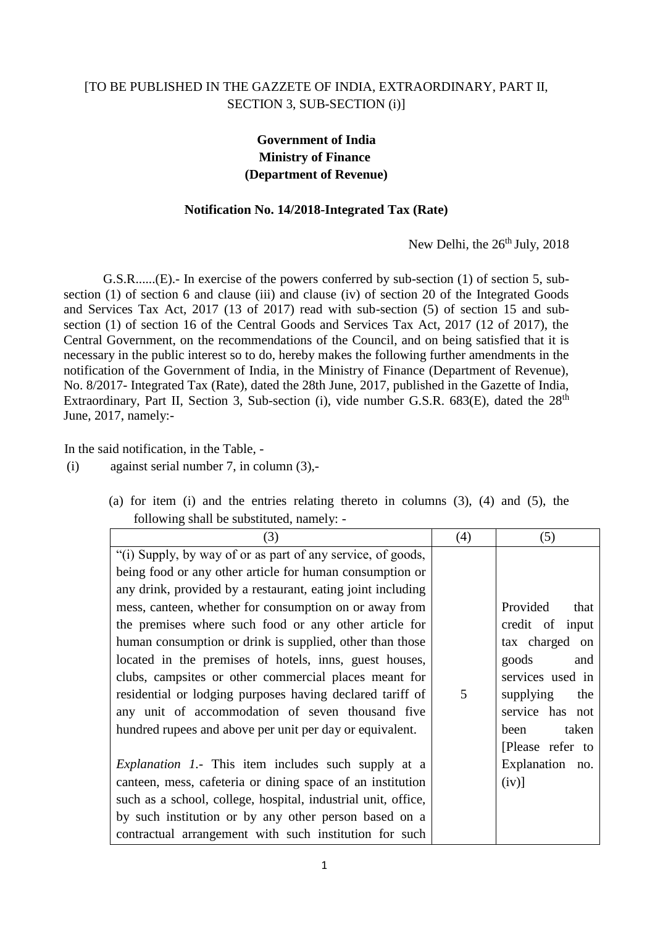## [TO BE PUBLISHED IN THE GAZZETE OF INDIA, EXTRAORDINARY, PART II, SECTION 3, SUB-SECTION (i)]

## **Government of India Ministry of Finance (Department of Revenue)**

## **Notification No. 14/2018-Integrated Tax (Rate)**

New Delhi, the 26<sup>th</sup> July, 2018

G.S.R......(E).- In exercise of the powers conferred by sub-section (1) of section 5, subsection (1) of section 6 and clause (iii) and clause (iv) of section 20 of the Integrated Goods and Services Tax Act, 2017 (13 of 2017) read with sub-section (5) of section 15 and subsection (1) of section 16 of the Central Goods and Services Tax Act, 2017 (12 of 2017), the Central Government, on the recommendations of the Council, and on being satisfied that it is necessary in the public interest so to do, hereby makes the following further amendments in the notification of the Government of India, in the Ministry of Finance (Department of Revenue), No. 8/2017- Integrated Tax (Rate), dated the 28th June, 2017, published in the Gazette of India, Extraordinary, Part II, Section 3, Sub-section (i), vide number G.S.R.  $683(E)$ , dated the  $28<sup>th</sup>$ June, 2017, namely:-

In the said notification, in the Table, -

(i) against serial number 7, in column (3),-

| (3)                                                           | (4) | (5)              |
|---------------------------------------------------------------|-----|------------------|
| "(i) Supply, by way of or as part of any service, of goods,   |     |                  |
| being food or any other article for human consumption or      |     |                  |
| any drink, provided by a restaurant, eating joint including   |     |                  |
| mess, canteen, whether for consumption on or away from        |     | Provided<br>that |
| the premises where such food or any other article for         |     | credit of input  |
| human consumption or drink is supplied, other than those      |     | tax charged on   |
| located in the premises of hotels, inns, guest houses,        |     | goods<br>and     |
| clubs, campsites or other commercial places meant for         |     | services used in |
| residential or lodging purposes having declared tariff of     | 5   | supplying<br>the |
| any unit of accommodation of seven thousand five              |     | service has not  |
| hundred rupees and above per unit per day or equivalent.      |     | taken<br>been    |
|                                                               |     | [Please refer to |
| <i>Explanation 1.</i> This item includes such supply at a     |     | Explanation no.  |
| canteen, mess, cafeteria or dining space of an institution    |     | $(iv)$ ]         |
| such as a school, college, hospital, industrial unit, office, |     |                  |
| by such institution or by any other person based on a         |     |                  |
| contractual arrangement with such institution for such        |     |                  |

(a) for item (i) and the entries relating thereto in columns (3), (4) and (5), the following shall be substituted, namely: -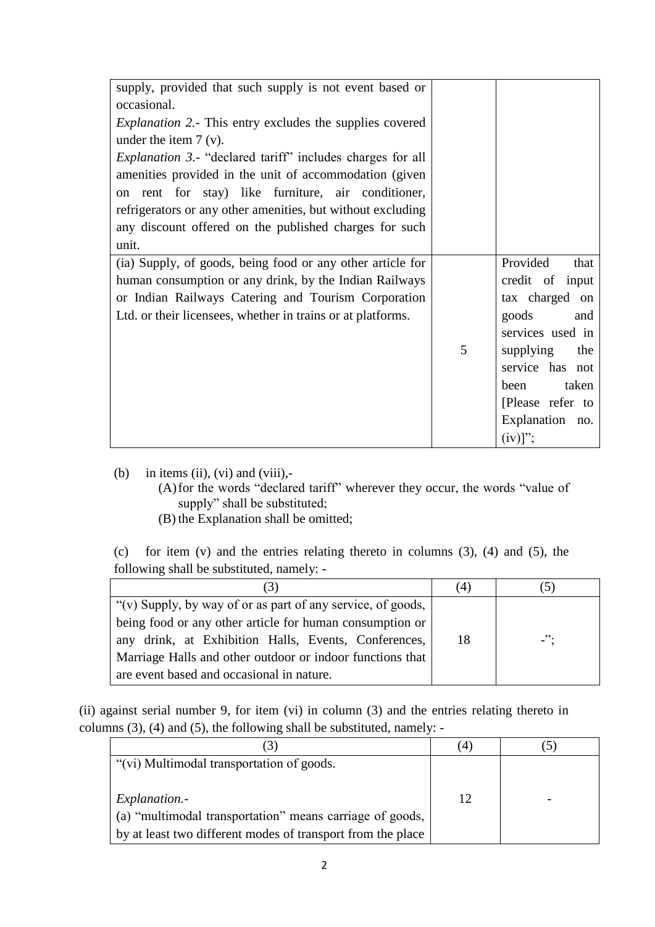| supply, provided that such supply is not event based or<br>occasional. |   |                  |
|------------------------------------------------------------------------|---|------------------|
| <i>Explanation 2.</i> - This entry excludes the supplies covered       |   |                  |
| under the item $7 (v)$ .                                               |   |                  |
| <i>Explanation 3.</i> - "declared tariff" includes charges for all     |   |                  |
| amenities provided in the unit of accommodation (given                 |   |                  |
|                                                                        |   |                  |
| on rent for stay) like furniture, air conditioner,                     |   |                  |
| refrigerators or any other amenities, but without excluding            |   |                  |
| any discount offered on the published charges for such                 |   |                  |
| unit.                                                                  |   |                  |
| (ia) Supply, of goods, being food or any other article for             |   | Provided<br>that |
| human consumption or any drink, by the Indian Railways                 |   | credit of input  |
| or Indian Railways Catering and Tourism Corporation                    |   | tax charged on   |
| Ltd. or their licensees, whether in trains or at platforms.            |   | goods<br>and     |
|                                                                        |   | services used in |
|                                                                        | 5 | supplying<br>the |
|                                                                        |   | service has not  |
|                                                                        |   | taken<br>been    |
|                                                                        |   | [Please refer to |
|                                                                        |   | Explanation no.  |
|                                                                        |   | $(iv)$ ";        |

(b) in items (ii), (vi) and (viii),-

- (A)for the words "declared tariff" wherever they occur, the words "value of supply" shall be substituted;
- (B) the Explanation shall be omitted;

(c) for item (v) and the entries relating thereto in columns (3), (4) and (5), the following shall be substituted, namely: -

| (3)                                                         | (4) |        |
|-------------------------------------------------------------|-----|--------|
| "(v) Supply, by way of or as part of any service, of goods, |     |        |
| being food or any other article for human consumption or    |     |        |
| any drink, at Exhibition Halls, Events, Conferences,        | 18  | $-$ ": |
| Marriage Halls and other outdoor or indoor functions that   |     |        |
| are event based and occasional in nature.                   |     |        |

(ii) against serial number 9, for item (vi) in column (3) and the entries relating thereto in columns (3), (4) and (5), the following shall be substituted, namely: -

|                                                             | $\left(4\right)$ |  |
|-------------------------------------------------------------|------------------|--|
| "(vi) Multimodal transportation of goods.                   |                  |  |
|                                                             |                  |  |
| <i>Explanation.</i> -                                       | 12               |  |
| (a) "multimodal transportation" means carriage of goods,    |                  |  |
| by at least two different modes of transport from the place |                  |  |